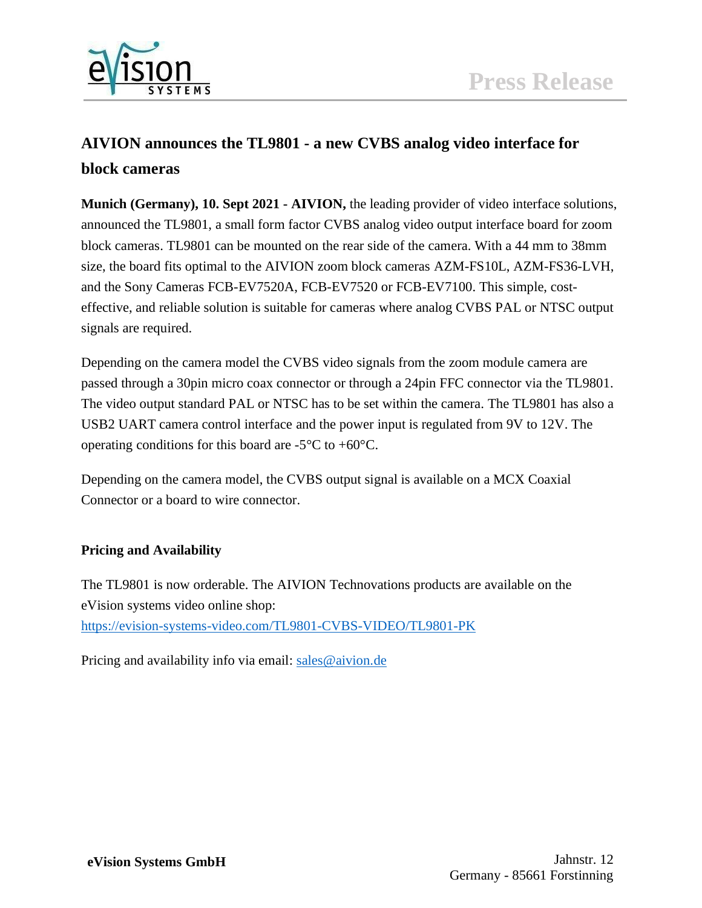

# **AIVION announces the TL9801 - a new CVBS analog video interface for block cameras**

**Munich (Germany), 10. Sept 2021 - AIVION,** the leading provider of video interface solutions, announced the TL9801, a small form factor CVBS analog video output interface board for zoom block cameras. TL9801 can be mounted on the rear side of the camera. With a 44 mm to 38mm size, the board fits optimal to the AIVION zoom block cameras AZM-FS10L, AZM-FS36-LVH, and the Sony Cameras FCB-EV7520A, FCB-EV7520 or FCB-EV7100. This simple, costeffective, and reliable solution is suitable for cameras where analog CVBS PAL or NTSC output signals are required.

Depending on the camera model the CVBS video signals from the zoom module camera are passed through a 30pin micro coax connector or through a 24pin FFC connector via the TL9801. The video output standard PAL or NTSC has to be set within the camera. The TL9801 has also a USB2 UART camera control interface and the power input is regulated from 9V to 12V. The operating conditions for this board are  $-5^{\circ}$ C to  $+60^{\circ}$ C.

Depending on the camera model, the CVBS output signal is available on a MCX Coaxial Connector or a board to wire connector.

## **Pricing and Availability**

The TL9801 is now orderable. The AIVION Technovations products are available on the eVision systems video online shop: <https://evision-systems-video.com/TL9801-CVBS-VIDEO/TL9801-PK>

Pricing and availability info via email: [sales@aivion.de](mailto:sales@aivion.de)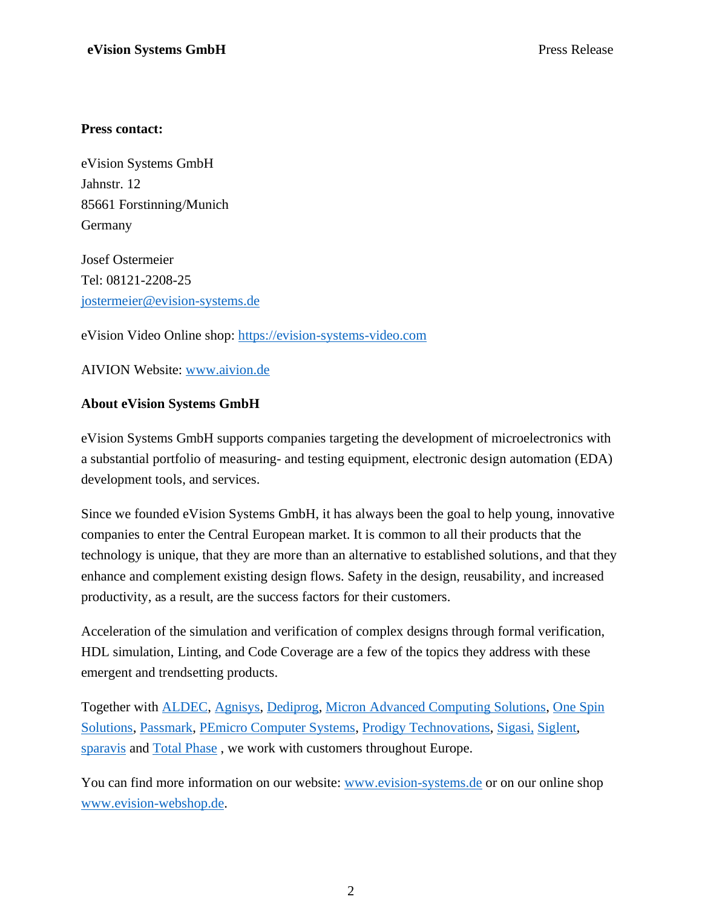## **Press contact:**

eVision Systems GmbH Jahnstr. 12 85661 Forstinning/Munich Germany

Josef Ostermeier Tel: 08121-2208-25 [jostermeier@evision-systems.de](mailto:jostermeier@evision-systems.de)

eVision Video Online shop: [https://evision-systems-video.com](https://evision-systems-video.com/)

AIVION Website: [www.aivion.de](http://www.aivion.de/)

## **About eVision Systems GmbH**

eVision Systems GmbH supports companies targeting the development of microelectronics with a substantial portfolio of measuring- and testing equipment, electronic design automation (EDA) development tools, and services.

Since we founded eVision Systems GmbH, it has always been the goal to help young, innovative companies to enter the Central European market. It is common to all their products that the technology is unique, that they are more than an alternative to established solutions, and that they enhance and complement existing design flows. Safety in the design, reusability, and increased productivity, as a result, are the success factors for their customers.

Acceleration of the simulation and verification of complex designs through formal verification, HDL simulation, Linting, and Code Coverage are a few of the topics they address with these emergent and trendsetting products.

Together with [ALDEC,](http://evision-systems.de/aldec---hdl-entwurf-und-verifikation/) [Agnisys,](http://evision-systems.de/agnisys---soc-verification-und-uvm-generator/) [Dediprog,](https://evision-webshop.de/Dediprog) [Micron Advanced Computing Solutions,](http://evision-systems.de/micron-advanced-computing-solutions/) [One Spin](http://evision-systems.de/onespin-solutions---formale-verifikation/)  [Solutions,](http://evision-systems.de/onespin-solutions---formale-verifikation/) [Passmark,](https://evision-webshop.de/Hersteller/Passmark) [PEmicro Computer Systems,](https://evision-webshop.de/PEmicro) [Prodigy Technovations,](https://evision-webshop.de/Prodigy-Technovations) [Sigasi,](http://evision-systems.de/sigasi---hdl-editoren/) [Siglent,](https://evision-webshop.de/epages/e6077b56-ef34-48be-850f-07696838e42e.sf/sec292b51f33d/?ObjectPath=/Shops/e6077b56-ef34-48be-850f-07696838e42e/Categories/Hersteller/Siglent) [sparavis](https://evision-webshop.de/epages/e6077b56-ef34-48be-850f-07696838e42e.sf/de_DE/?ObjectPath=/Shops/e6077b56-ef34-48be-850f-07696838e42e/Categories/Hersteller/sparavis) and [Total Phase](https://evision-webshop.de/total-phase-protokoll-analysatoren-und-host-adapter) , we work with customers throughout Europe.

You can find more information on our website: www.evision-systems. de or on our online shop [www.evision-webshop.de.](http://www.evision-webshop.de/)